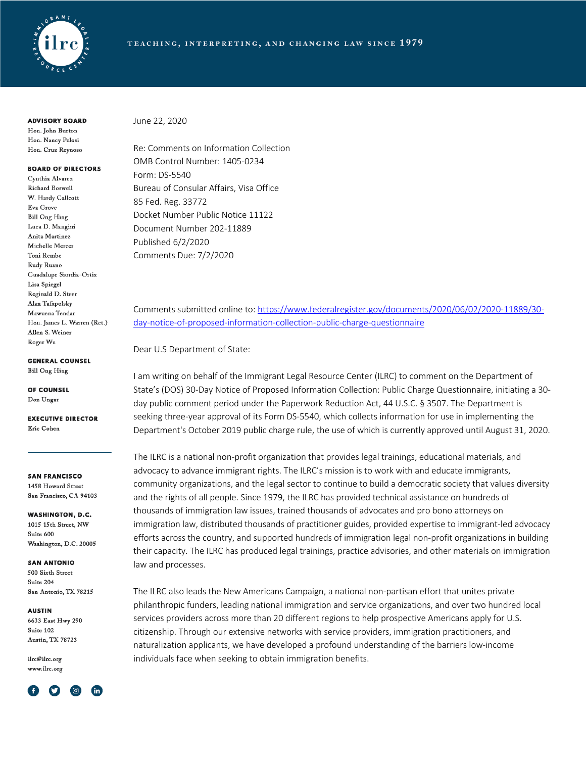

**ADVISORY BOARD** 

Hon. John Burton Hon, Nancy Pelosi Hon. Cruz Reynoso

#### **BOARD OF DIRECTORS**

Cynthia Alvarez Richard Boswell W. Hardy Callcott Eva Grove **Bill Ong Hing** Luca D. Mangini Anita Martinez Michelle Mercer Toni Rembe Rudy Ruano Guadalupe Siordia-Ortiz Lisa Spiegel Reginald D. Steer Alan Tafapolsky Mawuena Tendar Hon. James L. Warren (Ret.) Allen S. Weiner Roger Wu

**GENERAL COUNSEL** 

**Bill Ong Hing** 

OF COUNSEL Don Ungar

**EXECUTIVE DIRECTOR** Eric Cohen

**SAN FRANCISCO** 1458 Howard Street San Francisco, CA 94103

**WASHINGTON, D.C.** 1015 15th Street, NW Suite 600 Washington, D.C. 20005

**SAN ANTONIO** 500 Sixth Street Suite 204 San Antonio, TX 78215

**AUSTIN** 

6633 East Hwy 290 Suite 102 Austin, TX 78723

ilrc@ilrc.org www.ilrc.org



June 22, 2020

Re: Comments on Information Collection OMB Control Number: 1405-0234 Form: DS-5540 Bureau of Consular Affairs, Visa Office 85 Fed. Reg. 33772 Docket Number Public Notice 11122 Document Number 202-11889 Published 6/2/2020 Comments Due: 7/2/2020

Comments submitted online to: https://www.federalregister.gov/documents/2020/06/02/2020-11889/30 day-notice-of-proposed-information-collection-public-charge-questionnaire

Dear U.S Department of State:

I am writing on behalf of the Immigrant Legal Resource Center (ILRC) to comment on the Department of State's (DOS) 30-Day Notice of Proposed Information Collection: Public Charge Questionnaire, initiating a 30 day public comment period under the Paperwork Reduction Act, 44 U.S.C. § 3507. The Department is seeking three-year approval of its Form DS-5540, which collects information for use in implementing the Department's October 2019 public charge rule, the use of which is currently approved until August 31, 2020.

The ILRC is a national non-profit organization that provides legal trainings, educational materials, and advocacy to advance immigrant rights. The ILRC's mission is to work with and educate immigrants, community organizations, and the legal sector to continue to build a democratic society that values diversity and the rights of all people. Since 1979, the ILRC has provided technical assistance on hundreds of thousands of immigration law issues, trained thousands of advocates and pro bono attorneys on immigration law, distributed thousands of practitioner guides, provided expertise to immigrant-led advocacy efforts across the country, and supported hundreds of immigration legal non-profit organizations in building their capacity. The ILRC has produced legal trainings, practice advisories, and other materials on immigration law and processes.

The ILRC also leads the New Americans Campaign, a national non-partisan effort that unites private philanthropic funders, leading national immigration and service organizations, and over two hundred local services providers across more than 20 different regions to help prospective Americans apply for U.S. citizenship. Through our extensive networks with service providers, immigration practitioners, and naturalization applicants, we have developed a profound understanding of the barriers low-income individuals face when seeking to obtain immigration benefits.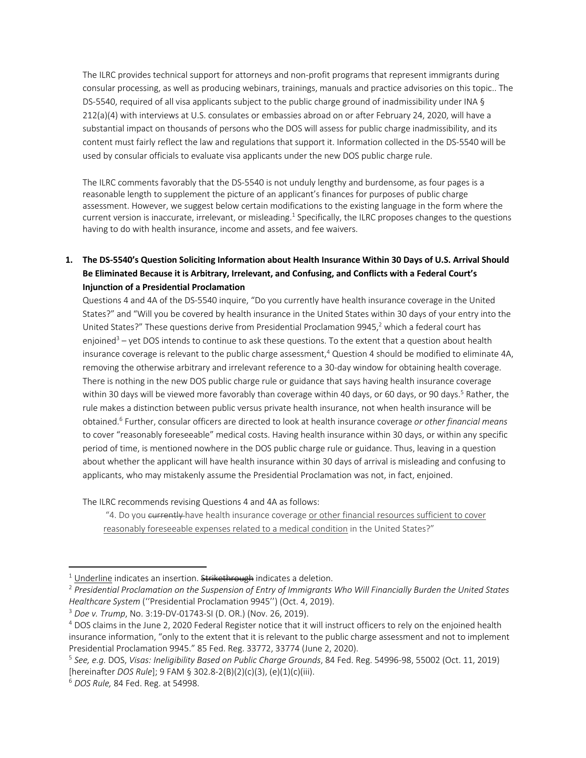The ILRC provides technical support for attorneys and non-profit programs that represent immigrants during consular processing, as well as producing webinars, trainings, manuals and practice advisories on this topic.. The DS-5540, required of all visa applicants subject to the public charge ground of inadmissibility under INA § 212(a)(4) with interviews at U.S. consulates or embassies abroad on or after February 24, 2020, will have a substantial impact on thousands of persons who the DOS will assess for public charge inadmissibility, and its content must fairly reflect the law and regulations that support it. Information collected in the DS-5540 will be used by consular officials to evaluate visa applicants under the new DOS public charge rule.

The ILRC comments favorably that the DS-5540 is not unduly lengthy and burdensome, as four pages is a reasonable length to supplement the picture of an applicant's finances for purposes of public charge assessment. However, we suggest below certain modifications to the existing language in the form where the current version is inaccurate, irrelevant, or misleading.<sup>1</sup> Specifically, the ILRC proposes changes to the questions having to do with health insurance, income and assets, and fee waivers.

# **1. The DS-5540's Question Soliciting Information about Health Insurance Within 30 Days of U.S. Arrival Should Be Eliminated Because it is Arbitrary, Irrelevant, and Confusing, and Conflicts with a Federal Court's Injunction of a Presidential Proclamation**

Questions 4 and 4A of the DS-5540 inquire, "Do you currently have health insurance coverage in the United States?" and "Will you be covered by health insurance in the United States within 30 days of your entry into the United States?" These questions derive from Presidential Proclamation 9945,<sup>2</sup> which a federal court has enjoined<sup>3</sup> – yet DOS intends to continue to ask these questions. To the extent that a question about health insurance coverage is relevant to the public charge assessment,<sup>4</sup> Question 4 should be modified to eliminate 4A, removing the otherwise arbitrary and irrelevant reference to a 30-day window for obtaining health coverage. There is nothing in the new DOS public charge rule or guidance that says having health insurance coverage within 30 days will be viewed more favorably than coverage within 40 days, or 60 days, or 90 days.<sup>5</sup> Rather, the rule makes a distinction between public versus private health insurance, not when health insurance will be obtained.6 Further, consular officers are directed to look at health insurance coverage *or other financial means* to cover "reasonably foreseeable" medical costs. Having health insurance within 30 days, or within any specific period of time, is mentioned nowhere in the DOS public charge rule or guidance. Thus, leaving in a question about whether the applicant will have health insurance within 30 days of arrival is misleading and confusing to applicants, who may mistakenly assume the Presidential Proclamation was not, in fact, enjoined.

The ILRC recommends revising Questions 4 and 4A as follows:

"4. Do you currently have health insurance coverage or other financial resources sufficient to cover reasonably foreseeable expenses related to a medical condition in the United States?"

<sup>&</sup>lt;sup>1</sup> <u>Underline</u> indicates an insertion. <del>Strikethrough</del> indicates a deletion.<br><sup>2</sup> Presidential Proclamation on the Suspension of Entry of Immigrants Who Will Financially Burden the United States *Healthcare System* (''Presidential Proclamation 9945'') (Oct. 4, 2019).

<sup>3</sup> *Doe v. Trump*, No. 3:19-DV-01743-SI (D. OR.) (Nov. 26, 2019).

<sup>4</sup> DOS claims in the June 2, 2020 Federal Register notice that it will instruct officers to rely on the enjoined health insurance information, "only to the extent that it is relevant to the public charge assessment and not to implement Presidential Proclamation 9945." 85 Fed. Reg. 33772, 33774 (June 2, 2020).

<sup>5</sup> *See, e.g.* DOS, *Visas: Ineligibility Based on Public Charge Grounds*, 84 Fed. Reg. 54996-98, 55002 (Oct. 11, 2019) [hereinafter *DOS Rule*]; 9 FAM § 302.8-2(B)(2)(c)(3), (e)(1)(c)(iii).

<sup>6</sup> *DOS Rule,* 84 Fed. Reg. at 54998.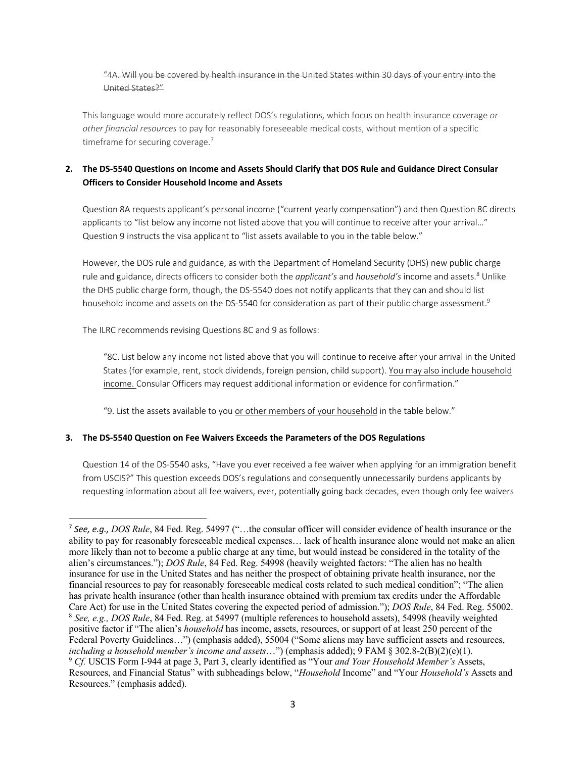#### "4A. Will you be covered by health insurance in the United States within 30 days of your entry into the United States?"

This language would more accurately reflect DOS's regulations, which focus on health insurance coverage *or other financial resources* to pay for reasonably foreseeable medical costs, without mention of a specific timeframe for securing coverage.<sup>7</sup>

## **2. The DS-5540 Questions on Income and Assets Should Clarify that DOS Rule and Guidance Direct Consular Officers to Consider Household Income and Assets**

Question 8A requests applicant's personal income ("current yearly compensation") and then Question 8C directs applicants to "list below any income not listed above that you will continue to receive after your arrival…" Question 9 instructs the visa applicant to "list assets available to you in the table below."

However, the DOS rule and guidance, as with the Department of Homeland Security (DHS) new public charge rule and guidance, directs officers to consider both the *applicant's* and *household's* income and assets.<sup>8</sup> Unlike the DHS public charge form, though, the DS-5540 does not notify applicants that they can and should list household income and assets on the DS-5540 for consideration as part of their public charge assessment.<sup>9</sup>

The ILRC recommends revising Questions 8C and 9 as follows:

"8C. List below any income not listed above that you will continue to receive after your arrival in the United States (for example, rent, stock dividends, foreign pension, child support). You may also include household income. Consular Officers may request additional information or evidence for confirmation."

"9. List the assets available to you or other members of your household in the table below."

### **3. The DS-5540 Question on Fee Waivers Exceeds the Parameters of the DOS Regulations**

Question 14 of the DS-5540 asks, "Have you ever received a fee waiver when applying for an immigration benefit from USCIS?" This question exceeds DOS's regulations and consequently unnecessarily burdens applicants by requesting information about all fee waivers, ever, potentially going back decades, even though only fee waivers

<sup>7</sup> *See, e.g., DOS Rule*, 84 Fed. Reg. 54997 ("…the consular officer will consider evidence of health insurance or the ability to pay for reasonably foreseeable medical expenses… lack of health insurance alone would not make an alien more likely than not to become a public charge at any time, but would instead be considered in the totality of the alien's circumstances."); *DOS Rule*, 84 Fed. Reg. 54998 (heavily weighted factors: "The alien has no health insurance for use in the United States and has neither the prospect of obtaining private health insurance, nor the financial resources to pay for reasonably foreseeable medical costs related to such medical condition"; "The alien has private health insurance (other than health insurance obtained with premium tax credits under the Affordable Care Act) for use in the United States covering the expected period of admission."); *DOS Rule*, 84 Fed. Reg. 55002. <sup>8</sup> *See, e.g., DOS Rule*, 84 Fed. Reg. at 54997 (multiple references to household assets), 54998 (heavily weighted positive factor if "The alien's *household* has income, assets, resources, or support of at least 250 percent of the Federal Poverty Guidelines…") (emphasis added), 55004 ("Some aliens may have sufficient assets and resources, including a household member's income and assets...") (emphasis added);  $9$  FAM § 302.8-2(B)(2)(e)(1).<br><sup>9</sup> Cf. USCIS Form I-944 at page 3, Part 3, clearly identified as "Your *and Your Household Member's* Assets, Resources, and Financial Status" with subheadings below, "*Household* Income" and "Your *Household's* Assets and Resources." (emphasis added).